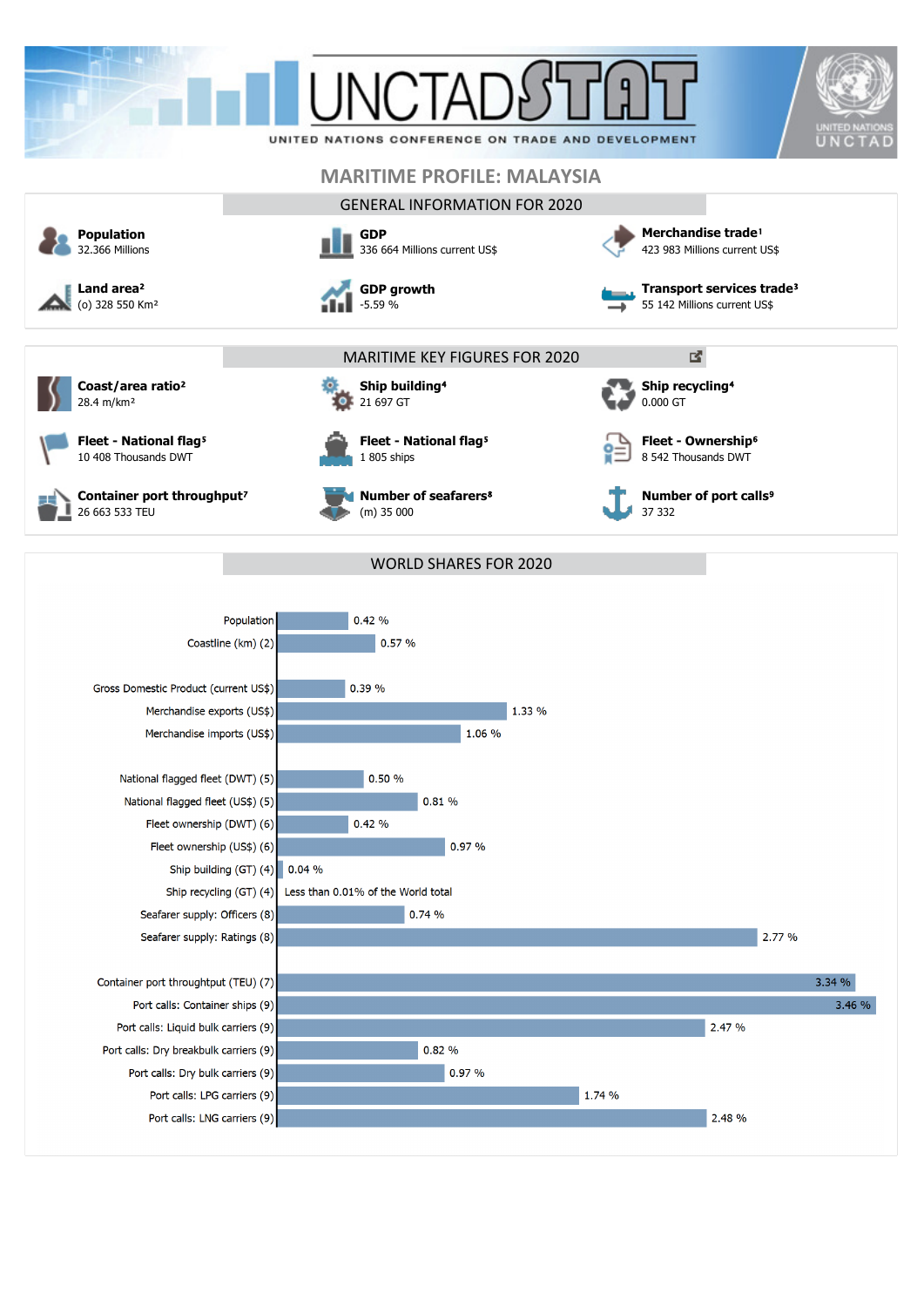

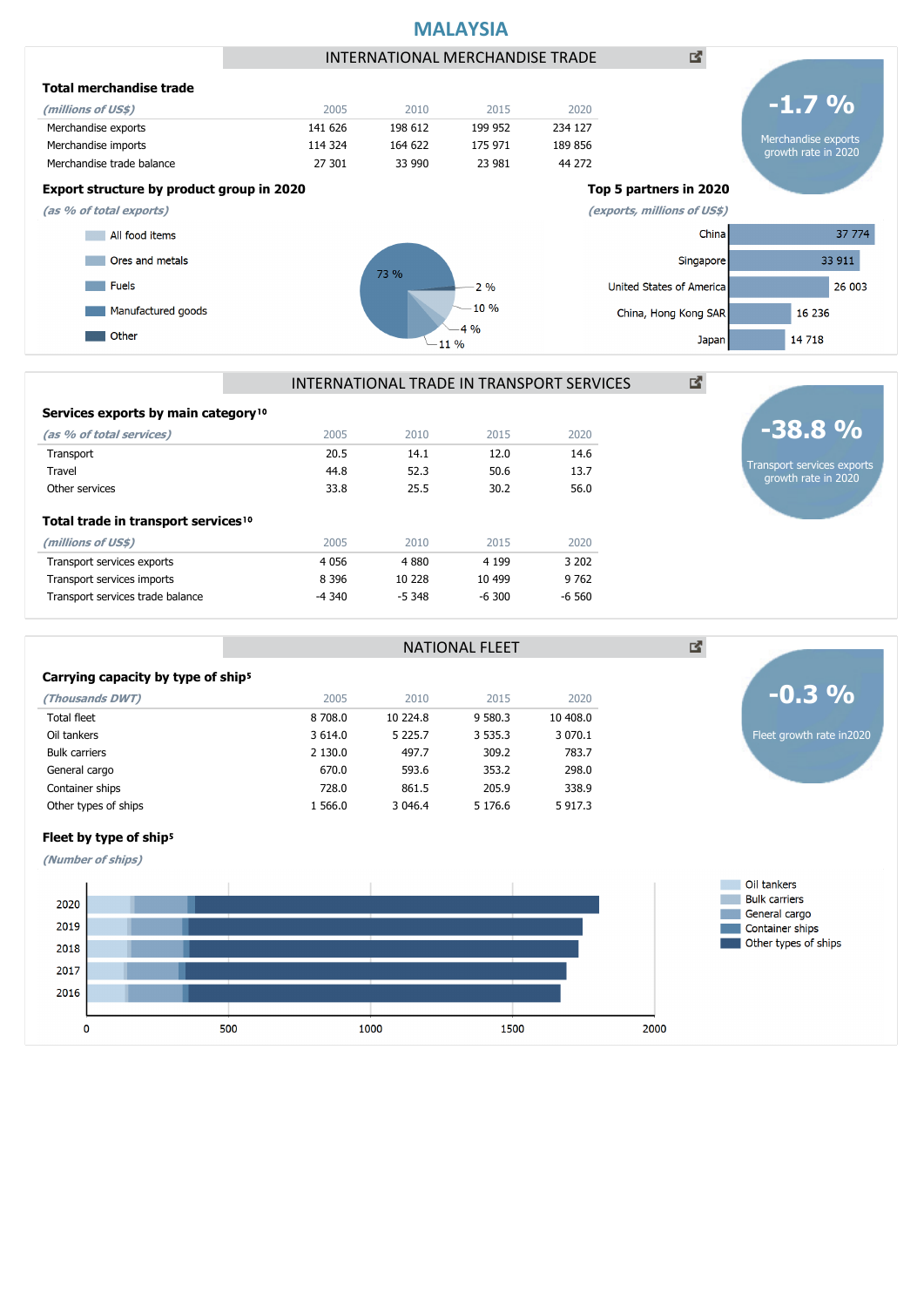



NATIONAL FLEET

| Services exports by main category <sup>10</sup> |         |          |          |         |
|-------------------------------------------------|---------|----------|----------|---------|
| (as % of total services)                        | 2005    | 2010     | 2015     | 2020    |
| Transport                                       | 20.5    | 14.1     | 12.0     | 14.6    |
| Travel                                          | 44.8    | 52.3     | 50.6     | 13.7    |
| Other services                                  | 33.8    | 25.5     | 30.2     | 56.0    |
| Total trade in transport services <sup>10</sup> |         |          |          |         |
| (millions of US\$)                              | 2005    | 2010     | 2015     | 2020    |
| Transport services exports                      | 4 0 5 6 | 4 8 8 0  | 4 1 9 9  | 3 20 2  |
| Transport services imports                      | 8 3 9 6 | 10 228   | 10 499   | 9 7 6 2 |
| Transport services trade balance                | -4 340  | $-5.348$ | $-6.300$ | $-6560$ |

#### Carrying capacity by type of ship<sup>5</sup>

| (Thousands DWT)      | 2005     | 2010        | 2015        | 2020        |
|----------------------|----------|-------------|-------------|-------------|
| <b>Total fleet</b>   | 8 708.0  | 10 224.8    | 9 580.3     | 10 408.0    |
| Oil tankers          | 3 6 14.0 | 5 2 2 5 . 7 | 3 5 3 5 . 3 | 3 0 7 0 . 1 |
| <b>Bulk carriers</b> | 2 130.0  | 497.7       | 309.2       | 783.7       |
| General cargo        | 670.0    | 593.6       | 353.2       | 298.0       |
| Container ships      | 728.0    | 861.5       | 205.9       | 338.9       |
| Other types of ships | 1 566.0  | 3 046.4     | 5 176.6     | 5 917.3     |
|                      |          |             |             |             |

## Fleet by type of ship<sup>5</sup>

**(Number of ships)**



# **-38.8 %**

図

Transport services exports growth rate in 2020

Fleet growth rate in2020

**-0.3 %**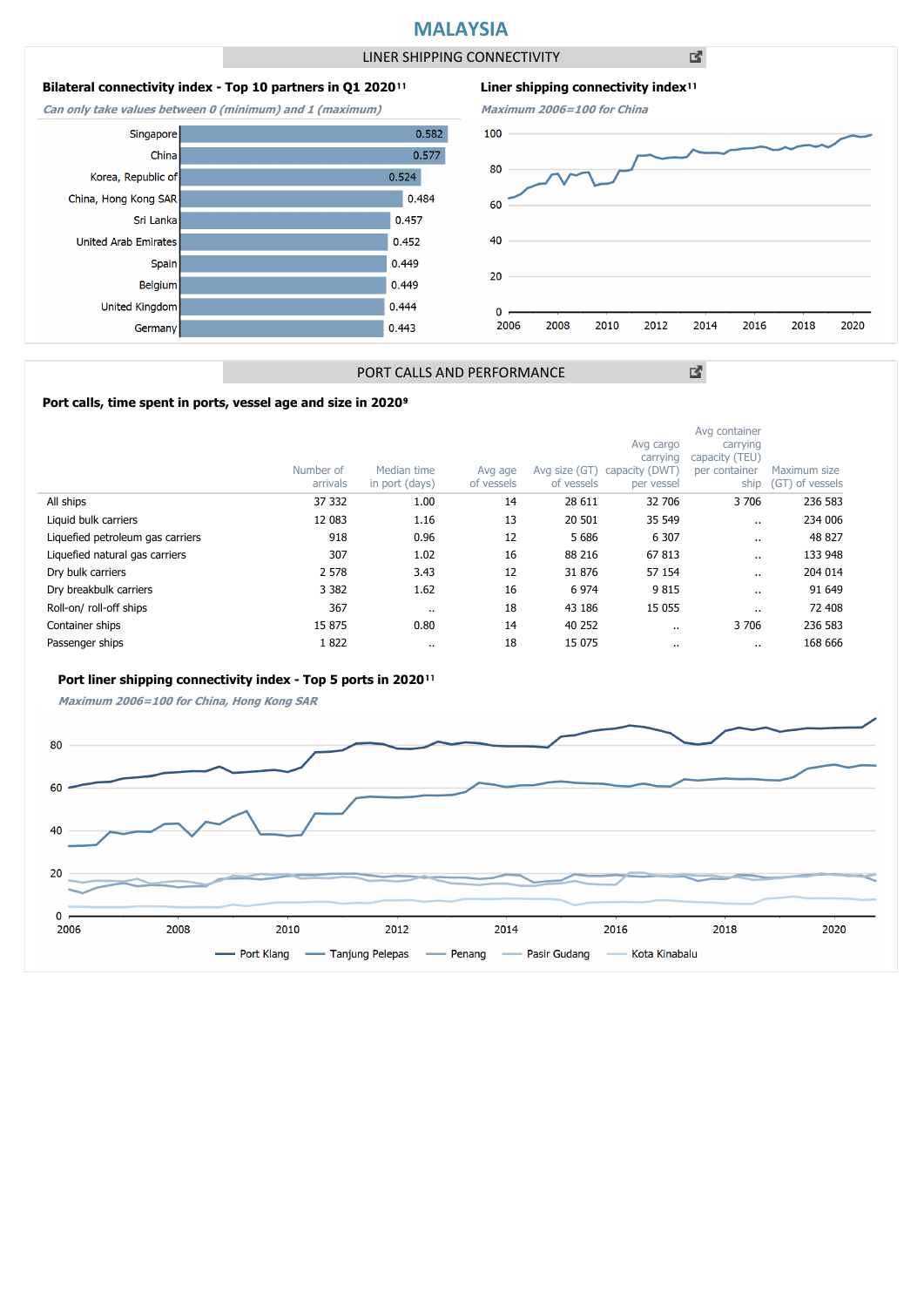## **MALAYSIA**

LINER SHIPPING CONNECTIVITY

凶

### **Bilateral connectivity index - Top 10 partners in Q1 2020**<sup>11</sup>

**Can only take values between 0 (minimum) and 1 (maximum)**





図

#### PORT CALLS AND PERFORMANCE

#### Port calls, time spent in ports, vessel age and size in 2020<sup>9</sup>

|                                  | Number of<br>arrivals | Median time<br>in port (days) | Avg age<br>of vessels | Avg size (GT)<br>of vessels | Avg cargo<br>carrying<br>capacity (DWT)<br>per vessel | Avg container<br>carrying<br>capacity (TEU)<br>per container<br>ship | Maximum size<br>(GT) of vessels |
|----------------------------------|-----------------------|-------------------------------|-----------------------|-----------------------------|-------------------------------------------------------|----------------------------------------------------------------------|---------------------------------|
| All ships                        | 37 332                | 1.00                          | 14                    | 28 611                      | 32 706                                                | 3706                                                                 | 236 583                         |
| Liquid bulk carriers             | 12 083                | 1.16                          | 13                    | 20 501                      | 35 549                                                |                                                                      | 234 006                         |
| Liquefied petroleum gas carriers | 918                   | 0.96                          | 12                    | 5 6 8 6                     | 6 3 0 7                                               | $\cdots$                                                             | 48 827                          |
| Liquefied natural gas carriers   | 307                   | 1.02                          | 16                    | 88 216                      | 67813                                                 | $\cdot$ .                                                            | 133 948                         |
| Dry bulk carriers                | 2 5 7 8               | 3.43                          | 12                    | 31 876                      | 57 154                                                | $\cdot$ .                                                            | 204 014                         |
| Dry breakbulk carriers           | 3 3 8 2               | 1.62                          | 16                    | 6 9 7 4                     | 9815                                                  | $\ddot{\phantom{0}}$                                                 | 91 649                          |
| Roll-on/roll-off ships           | 367                   |                               | 18                    | 43 186                      | 15 0 55                                               | $\ddot{\phantom{0}}$                                                 | 72 408                          |
| Container ships                  | 15 875                | 0.80                          | 14                    | 40 252                      | $\cdots$                                              | 3706                                                                 | 236 583                         |
| Passenger ships                  | 1822                  |                               | 18                    | 15 0 75                     |                                                       | $\cdot$ .                                                            | 168 666                         |

#### Port liner shipping connectivity index - Top 5 ports in 2020<sup>11</sup>

**Maximum 2006=100 for China, Hong Kong SAR**